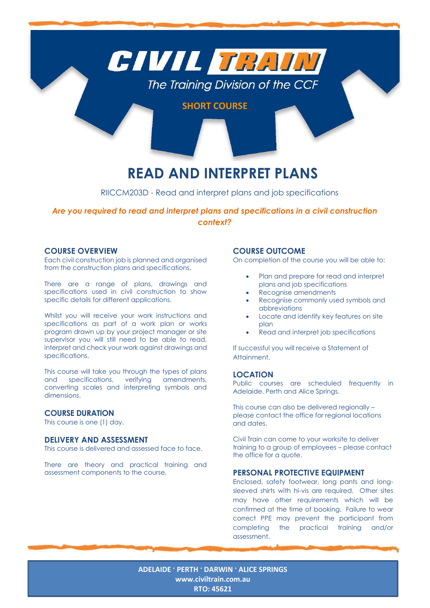

# **READ AND INTERPRET PLANS**

## RIICCM203D - Read and interpret plans and job specifications

## *Are you required to read and interpret plans and specifications in a civil construction context?*

### **COURSE OVERVIEW**

Each civil construction job is planned and organised from the construction plans and specifications.

There are a range of plans, drawings and specifications used in civil construction to show specific details for different applications.

Whilst you will receive your work instructions and specifications as part of a work plan or works program drawn up by your project manager or site supervisor you will still need to be able to read, interpret and check your work against drawings and specifications.

This course will take you through the types of plans and specifications, verifying amendments, converting scales and interpreting symbols and dimensions.

#### **COURSE DURATION**

This course is one (1) day.

#### **DELIVERY AND ASSESSMENT**

This course is delivered and assessed face to face.

There are theory and practical training and assessment components to the course.

#### **COURSE OUTCOME**

On completion of the course you will be able to:

- Plan and prepare for read and interpret plans and job specifications
- Recognise amendments
- Recognise commonly used symbols and abbreviations
- Locate and identify key features on site plan
- Read and interpret job specifications

If successful you will receive a Statement of Attainment.

#### **LOCATION**

Public courses are scheduled frequently in Adelaide, Perth and Alice Springs.

This course can also be delivered regionally – please contact the office for regional locations and dates.

Civil Train can come to your worksite to deliver training to a group of employees – please contact the office for a quote.

#### **PERSONAL PROTECTIVE EQUIPMENT**

Enclosed, safety footwear, long pants and longsleeved shirts with hi-vis are required. Other sites may have other requirements which will be confirmed at the time of booking. Failure to wear correct PPE may prevent the participant from completing the practical training and/or assessment.

**ADELAIDE · PERTH · DARWIN · ALICE SPRINGS [www.civiltrain.com.au](http://www.civiltrain.com.au/) RTO: 45621**